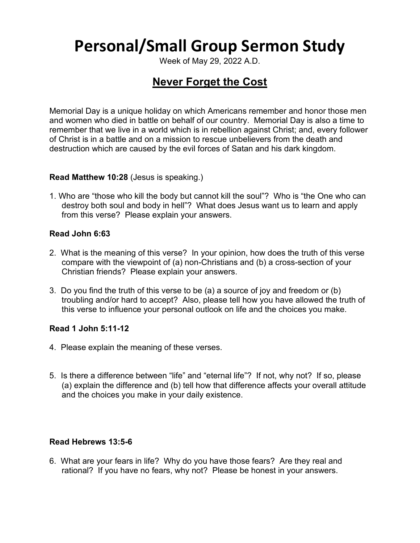# **Personal/Small Group Sermon Study**

Week of May 29, 2022 A.D.

# **Never Forget the Cost**

Memorial Day is a unique holiday on which Americans remember and honor those men and women who died in battle on behalf of our country. Memorial Day is also a time to remember that we live in a world which is in rebellion against Christ; and, every follower of Christ is in a battle and on a mission to rescue unbelievers from the death and destruction which are caused by the evil forces of Satan and his dark kingdom.

# **Read Matthew 10:28** (Jesus is speaking.)

1. Who are "those who kill the body but cannot kill the soul"? Who is "the One who can destroy both soul and body in hell"? What does Jesus want us to learn and apply from this verse? Please explain your answers.

#### **Read John 6:63**

- 2. What is the meaning of this verse? In your opinion, how does the truth of this verse compare with the viewpoint of (a) non-Christians and (b) a cross-section of your Christian friends? Please explain your answers.
- 3. Do you find the truth of this verse to be (a) a source of joy and freedom or (b) troubling and/or hard to accept? Also, please tell how you have allowed the truth of this verse to influence your personal outlook on life and the choices you make.

# **Read 1 John 5:11-12**

- 4. Please explain the meaning of these verses.
- 5. Is there a difference between "life" and "eternal life"? If not, why not? If so, please (a) explain the difference and (b) tell how that difference affects your overall attitude and the choices you make in your daily existence.

# **Read Hebrews 13:5-6**

6. What are your fears in life? Why do you have those fears? Are they real and rational? If you have no fears, why not? Please be honest in your answers.